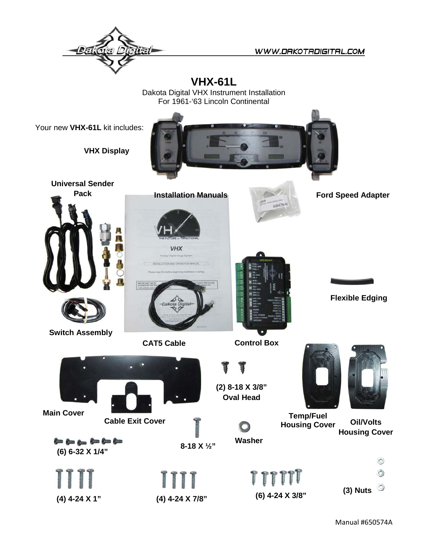

WWW.DRKOTRDIGITRL.COM

**VHX-61L**

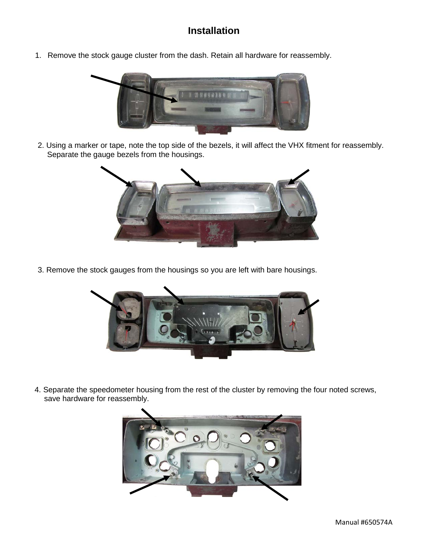## **Installation**

1. Remove the stock gauge cluster from the dash. Retain all hardware for reassembly.



2. Using a marker or tape, note the top side of the bezels, it will affect the VHX fitment for reassembly. Separate the gauge bezels from the housings.



3. Remove the stock gauges from the housings so you are left with bare housings.



4. Separate the speedometer housing from the rest of the cluster by removing the four noted screws, save hardware for reassembly.

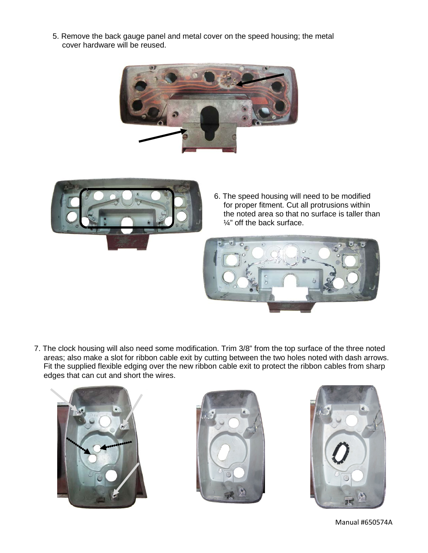5. Remove the back gauge panel and metal cover on the speed housing; the metal cover hardware will be reused.





6. The speed housing will need to be modified for proper fitment. Cut all protrusions within the noted area so that no surface is taller than ¼" off the back surface.



7. The clock housing will also need some modification. Trim 3/8" from the top surface of the three noted areas; also make a slot for ribbon cable exit by cutting between the two holes noted with dash arrows. Fit the supplied flexible edging over the new ribbon cable exit to protect the ribbon cables from sharp edges that can cut and short the wires.





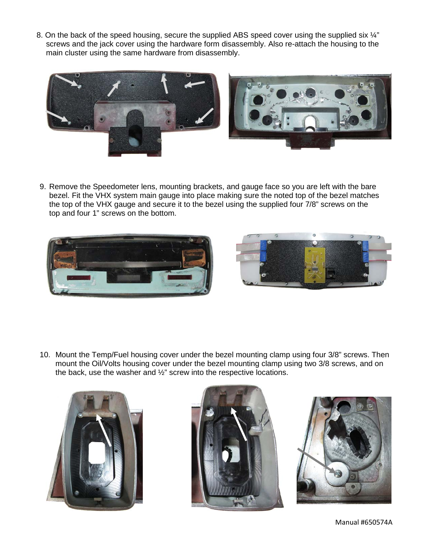8. On the back of the speed housing, secure the supplied ABS speed cover using the supplied six  $\mathcal{V}$ " screws and the jack cover using the hardware form disassembly. Also re-attach the housing to the main cluster using the same hardware from disassembly.



9. Remove the Speedometer lens, mounting brackets, and gauge face so you are left with the bare bezel. Fit the VHX system main gauge into place making sure the noted top of the bezel matches the top of the VHX gauge and secure it to the bezel using the supplied four 7/8" screws on the top and four 1" screws on the bottom.





10. Mount the Temp/Fuel housing cover under the bezel mounting clamp using four 3/8" screws. Then mount the Oil/Volts housing cover under the bezel mounting clamp using two 3/8 screws, and on the back, use the washer and ½" screw into the respective locations.







Manual #650574A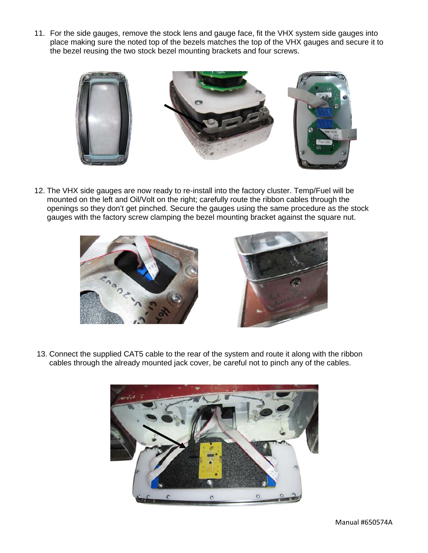11. For the side gauges, remove the stock lens and gauge face, fit the VHX system side gauges into place making sure the noted top of the bezels matches the top of the VHX gauges and secure it to the bezel reusing the two stock bezel mounting brackets and four screws.



12. The VHX side gauges are now ready to re-install into the factory cluster. Temp/Fuel will be mounted on the left and Oil/Volt on the right; carefully route the ribbon cables through the openings so they don't get pinched. Secure the gauges using the same procedure as the stock gauges with the factory screw clamping the bezel mounting bracket against the square nut.





13. Connect the supplied CAT5 cable to the rear of the system and route it along with the ribbon cables through the already mounted jack cover, be careful not to pinch any of the cables.